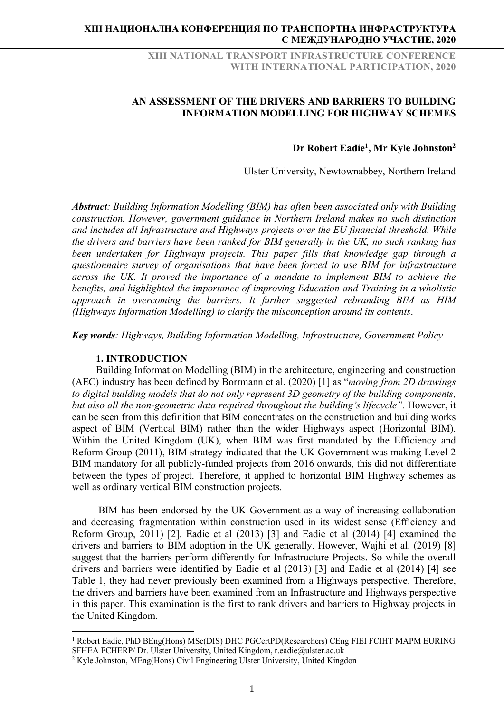XIII NATIONAL TRANSPORT INFRASTRUCTURE CONFERENCE WITH INTERNATIONAL PARTICIPATION, 2020

## AN ASSESSMENT OF THE DRIVERS AND BARRIERS TO BUILDING INFORMATION MODELLING FOR HIGHWAY SCHEMES

#### Dr Robert Eadie<sup>1</sup>, Mr Kyle Johnston<sup>2</sup>

Ulster University, Newtownabbey, Northern Ireland

Abstract: Building Information Modelling (BIM) has often been associated only with Building construction. However, government guidance in Northern Ireland makes no such distinction and includes all Infrastructure and Highways projects over the EU financial threshold. While the drivers and barriers have been ranked for BIM generally in the UK, no such ranking has been undertaken for Highways projects. This paper fills that knowledge gap through a questionnaire survey of organisations that have been forced to use BIM for infrastructure across the UK. It proved the importance of a mandate to implement BIM to achieve the benefits, and highlighted the importance of improving Education and Training in a wholistic approach in overcoming the barriers. It further suggested rebranding BIM as HIM (Highways Information Modelling) to clarify the misconception around its contents.

Key words: Highways, Building Information Modelling, Infrastructure, Government Policy

#### 1. INTRODUCTION

Building Information Modelling (BIM) in the architecture, engineering and construction (AEC) industry has been defined by Borrmann et al. (2020) [1] as "moving from 2D drawings to digital building models that do not only represent 3D geometry of the building components, but also all the non-geometric data required throughout the building's lifecycle". However, it can be seen from this definition that BIM concentrates on the construction and building works aspect of BIM (Vertical BIM) rather than the wider Highways aspect (Horizontal BIM). Within the United Kingdom (UK), when BIM was first mandated by the Efficiency and Reform Group (2011), BIM strategy indicated that the UK Government was making Level 2 BIM mandatory for all publicly-funded projects from 2016 onwards, this did not differentiate between the types of project. Therefore, it applied to horizontal BIM Highway schemes as well as ordinary vertical BIM construction projects.

 BIM has been endorsed by the UK Government as a way of increasing collaboration and decreasing fragmentation within construction used in its widest sense (Efficiency and Reform Group, 2011) [2]. Eadie et al (2013) [3] and Eadie et al (2014) [4] examined the drivers and barriers to BIM adoption in the UK generally. However, Wajhi et al. (2019) [8] suggest that the barriers perform differently for Infrastructure Projects. So while the overall drivers and barriers were identified by Eadie et al (2013) [3] and Eadie et al (2014) [4] see Table 1, they had never previously been examined from a Highways perspective. Therefore, the drivers and barriers have been examined from an Infrastructure and Highways perspective in this paper. This examination is the first to rank drivers and barriers to Highway projects in the United Kingdom.

<sup>&</sup>lt;sup>1</sup> Robert Eadie, PhD BEng(Hons) MSc(DIS) DHC PGCertPD(Researchers) CEng FIEI FCIHT MAPM EURING SFHEA FCHERP/ Dr. Ulster University, United Kingdom, r.eadie@ulster.ac.uk

<sup>&</sup>lt;sup>2</sup> Kyle Johnston, MEng(Hons) Civil Engineering Ulster University, United Kingdon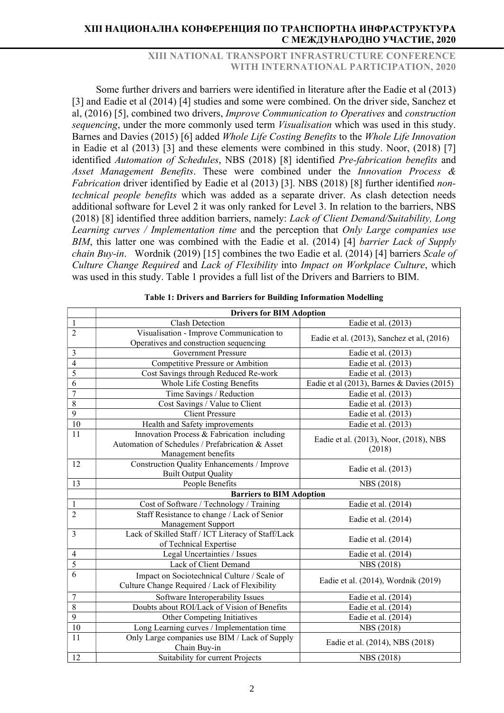## XIII NATIONAL TRANSPORT INFRASTRUCTURE CONFERENCE WITH INTERNATIONAL PARTICIPATION, 2020

Some further drivers and barriers were identified in literature after the Eadie et al (2013) [3] and Eadie et al (2014) [4] studies and some were combined. On the driver side, Sanchez et al, (2016) [5], combined two drivers, Improve Communication to Operatives and construction sequencing, under the more commonly used term *Visualisation* which was used in this study. Barnes and Davies (2015) [6] added Whole Life Costing Benefits to the Whole Life Innovation in Eadie et al (2013) [3] and these elements were combined in this study. Noor, (2018) [7] identified Automation of Schedules, NBS (2018) [8] identified Pre-fabrication benefits and Asset Management Benefits. These were combined under the Innovation Process & Fabrication driver identified by Eadie et al (2013) [3]. NBS (2018) [8] further identified nontechnical people benefits which was added as a separate driver. As clash detection needs additional software for Level 2 it was only ranked for Level 3. In relation to the barriers, NBS (2018) [8] identified three addition barriers, namely: Lack of Client Demand/Suitability, Long Learning curves / Implementation time and the perception that Only Large companies use BIM, this latter one was combined with the Eadie et al. (2014) [4] barrier Lack of Supply chain Buy-in. Wordnik (2019) [15] combines the two Eadie et al. (2014) [4] barriers Scale of Culture Change Required and Lack of Flexibility into Impact on Workplace Culture, which was used in this study. Table 1 provides a full list of the Drivers and Barriers to BIM.

|                  | <b>Drivers for BIM Adoption</b>                                                              |                                            |  |  |  |  |  |  |  |
|------------------|----------------------------------------------------------------------------------------------|--------------------------------------------|--|--|--|--|--|--|--|
| $\mathbf{1}$     | <b>Clash Detection</b>                                                                       | Eadie et al. (2013)                        |  |  |  |  |  |  |  |
| $\overline{c}$   | Visualisation - Improve Communication to                                                     |                                            |  |  |  |  |  |  |  |
|                  | Operatives and construction sequencing                                                       | Eadie et al. (2013), Sanchez et al, (2016) |  |  |  |  |  |  |  |
| 3                | <b>Government Pressure</b>                                                                   | Eadie et al. (2013)                        |  |  |  |  |  |  |  |
| $\overline{4}$   | Competitive Pressure or Ambition                                                             | Eadie et al. (2013)                        |  |  |  |  |  |  |  |
| 5                | Cost Savings through Reduced Re-work                                                         | Eadie et al. (2013)                        |  |  |  |  |  |  |  |
| 6                | Whole Life Costing Benefits                                                                  | Eadie et al (2013), Barnes & Davies (2015) |  |  |  |  |  |  |  |
| $\overline{7}$   | Time Savings / Reduction                                                                     | Eadie et al. (2013)                        |  |  |  |  |  |  |  |
| $\overline{8}$   | Cost Savings / Value to Client                                                               | Eadie et al. (2013)                        |  |  |  |  |  |  |  |
| $\overline{9}$   | <b>Client Pressure</b>                                                                       | Eadie et al. (2013)                        |  |  |  |  |  |  |  |
| 10               | Health and Safety improvements                                                               | Eadie et al. (2013)                        |  |  |  |  |  |  |  |
| 11               | Innovation Process & Fabrication including                                                   | Eadie et al. (2013), Noor, (2018), NBS     |  |  |  |  |  |  |  |
|                  | Automation of Schedules / Prefabrication & Asset                                             | (2018)                                     |  |  |  |  |  |  |  |
|                  | Management benefits                                                                          |                                            |  |  |  |  |  |  |  |
| 12               | Construction Quality Enhancements / Improve                                                  | Eadie et al. (2013)                        |  |  |  |  |  |  |  |
|                  | <b>Built Output Quality</b>                                                                  |                                            |  |  |  |  |  |  |  |
| 13               | People Benefits                                                                              | NBS (2018)                                 |  |  |  |  |  |  |  |
|                  | <b>Barriers to BIM Adoption</b>                                                              |                                            |  |  |  |  |  |  |  |
| 1                | Cost of Software / Technology / Training                                                     | Eadie et al. (2014)                        |  |  |  |  |  |  |  |
| $\overline{c}$   | Staff Resistance to change / Lack of Senior                                                  | Eadie et al. (2014)                        |  |  |  |  |  |  |  |
|                  | Management Support                                                                           |                                            |  |  |  |  |  |  |  |
| 3                | Lack of Skilled Staff / ICT Literacy of Staff/Lack                                           | Eadie et al. (2014)                        |  |  |  |  |  |  |  |
|                  | of Technical Expertise                                                                       |                                            |  |  |  |  |  |  |  |
| $\overline{4}$   | Legal Uncertainties / Issues                                                                 | Eadie et al. (2014)                        |  |  |  |  |  |  |  |
| $\overline{5}$   | Lack of Client Demand                                                                        | NBS (2018)                                 |  |  |  |  |  |  |  |
| 6                | Impact on Sociotechnical Culture / Scale of<br>Culture Change Required / Lack of Flexibility | Eadie et al. (2014), Wordnik (2019)        |  |  |  |  |  |  |  |
| $\boldsymbol{7}$ | Software Interoperability Issues                                                             | Eadie et al. (2014)                        |  |  |  |  |  |  |  |
| $\,8\,$          | Doubts about ROI/Lack of Vision of Benefits                                                  | Eadie et al. (2014)                        |  |  |  |  |  |  |  |
| $\mathbf{9}$     | Other Competing Initiatives                                                                  | Eadie et al. (2014)                        |  |  |  |  |  |  |  |
| 10               | Long Learning curves / Implementation time                                                   | NBS (2018)                                 |  |  |  |  |  |  |  |
| 11               | Only Large companies use BIM / Lack of Supply                                                | Eadie et al. (2014), NBS (2018)            |  |  |  |  |  |  |  |
|                  | Chain Buy-in                                                                                 |                                            |  |  |  |  |  |  |  |
| 12               | Suitability for current Projects                                                             | NBS (2018)                                 |  |  |  |  |  |  |  |

Table 1: Drivers and Barriers for Building Information Modelling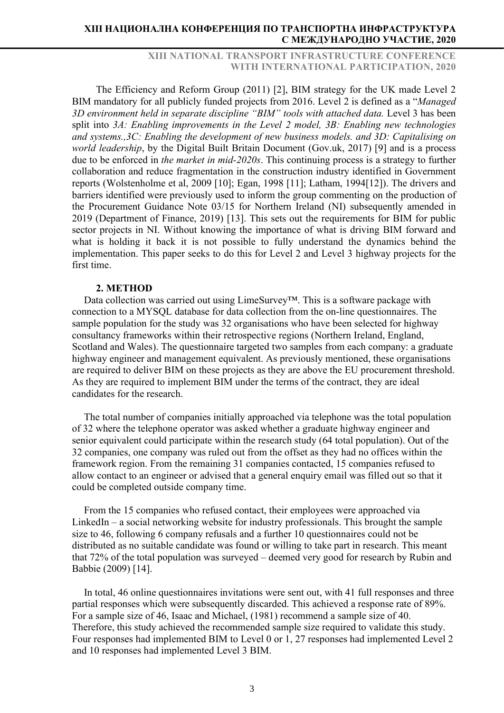XIII NATIONAL TRANSPORT INFRASTRUCTURE CONFERENCE WITH INTERNATIONAL PARTICIPATION, 2020

The Efficiency and Reform Group (2011) [2], BIM strategy for the UK made Level 2 BIM mandatory for all publicly funded projects from 2016. Level 2 is defined as a "Managed 3D environment held in separate discipline "BIM" tools with attached data. Level 3 has been split into 3A: Enabling improvements in the Level 2 model, 3B: Enabling new technologies and systems.,3C: Enabling the development of new business models. and 3D: Capitalising on world leadership, by the Digital Built Britain Document (Gov.uk, 2017) [9] and is a process due to be enforced in the market in mid-2020s. This continuing process is a strategy to further collaboration and reduce fragmentation in the construction industry identified in Government reports (Wolstenholme et al, 2009 [10]; Egan, 1998 [11]; Latham, 1994[12]). The drivers and barriers identified were previously used to inform the group commenting on the production of the Procurement Guidance Note 03/15 for Northern Ireland (NI) subsequently amended in 2019 (Department of Finance, 2019) [13]. This sets out the requirements for BIM for public sector projects in NI. Without knowing the importance of what is driving BIM forward and what is holding it back it is not possible to fully understand the dynamics behind the implementation. This paper seeks to do this for Level 2 and Level 3 highway projects for the first time.

#### 2. METHOD

Data collection was carried out using LimeSurvey™. This is a software package with connection to a MYSQL database for data collection from the on-line questionnaires. The sample population for the study was 32 organisations who have been selected for highway consultancy frameworks within their retrospective regions (Northern Ireland, England, Scotland and Wales). The questionnaire targeted two samples from each company: a graduate highway engineer and management equivalent. As previously mentioned, these organisations are required to deliver BIM on these projects as they are above the EU procurement threshold. As they are required to implement BIM under the terms of the contract, they are ideal candidates for the research.

The total number of companies initially approached via telephone was the total population of 32 where the telephone operator was asked whether a graduate highway engineer and senior equivalent could participate within the research study (64 total population). Out of the 32 companies, one company was ruled out from the offset as they had no offices within the framework region. From the remaining 31 companies contacted, 15 companies refused to allow contact to an engineer or advised that a general enquiry email was filled out so that it could be completed outside company time.

From the 15 companies who refused contact, their employees were approached via LinkedIn – a social networking website for industry professionals. This brought the sample size to 46, following 6 company refusals and a further 10 questionnaires could not be distributed as no suitable candidate was found or willing to take part in research. This meant that 72% of the total population was surveyed – deemed very good for research by Rubin and Babbie (2009) [14].

In total, 46 online questionnaires invitations were sent out, with 41 full responses and three partial responses which were subsequently discarded. This achieved a response rate of 89%. For a sample size of 46, Isaac and Michael, (1981) recommend a sample size of 40. Therefore, this study achieved the recommended sample size required to validate this study. Four responses had implemented BIM to Level 0 or 1, 27 responses had implemented Level 2 and 10 responses had implemented Level 3 BIM.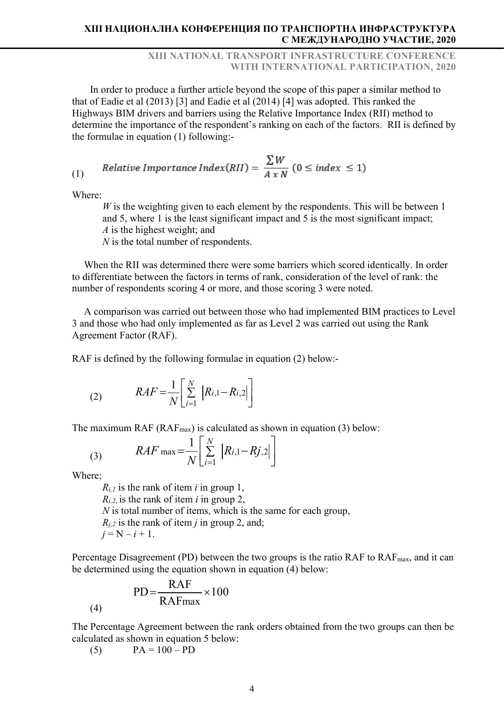## XIII NATIONAL TRANSPORT INFRASTRUCTURE CONFERENCE WITH INTERNATIONAL PARTICIPATION, 2020

In order to produce a further article beyond the scope of this paper a similar method to that of Eadie et al (2013) [3] and Eadie et al (2014) [4] was adopted. This ranked the Highways BIM drivers and barriers using the Relative Importance Index (RII) method to determine the importance of the respondent's ranking on each of the factors. RII is defined by the formulae in equation (1) following:-

(1) Relative *Importance Index(RII)* = 
$$
\frac{\sum W}{A \times N}
$$
 (0 \le *index* \le 1)

Where:

 $W$  is the weighting given to each element by the respondents. This will be between 1 and 5, where 1 is the least significant impact and 5 is the most significant impact; A is the highest weight; and

 $N$  is the total number of respondents.

When the RII was determined there were some barriers which scored identically. In order to differentiate between the factors in terms of rank, consideration of the level of rank: the number of respondents scoring 4 or more, and those scoring 3 were noted.

A comparison was carried out between those who had implemented BIM practices to Level 3 and those who had only implemented as far as Level 2 was carried out using the Rank Agreement Factor (RAF).

RAF is defined by the following formulae in equation (2) below:-

(2) 
$$
RAF = \frac{1}{N} \left[ \sum_{i=1}^{N} |R_{i,1} - R_{i,2}| \right]
$$

The maximum RAF ( $RAF_{\text{max}}$ ) is calculated as shown in equation (3) below:

(3) 
$$
RAF \max = \frac{1}{N} \left[ \sum_{i=1}^{N} |R_{i,1} - R_{i,2}| \right]
$$
  
Where;

(4)

 $R_{i,l}$  is the rank of item i in group 1,  $R_{i,2}$  is the rank of item *i* in group 2,  $N$  is total number of items, which is the same for each group,  $R_{i,2}$  is the rank of item *j* in group 2, and;  $j = N - i + 1$ .

Percentage Disagreement (PD) between the two groups is the ratio RAF to  $RAF_{\text{max}}$ , and it can be determined using the equation shown in equation (4) below:

$$
PD = \frac{RAF}{RAFmax} \times 100
$$

The Percentage Agreement between the rank orders obtained from the two groups can then be calculated as shown in equation 5 below:

(5)  $PA = 100 - PD$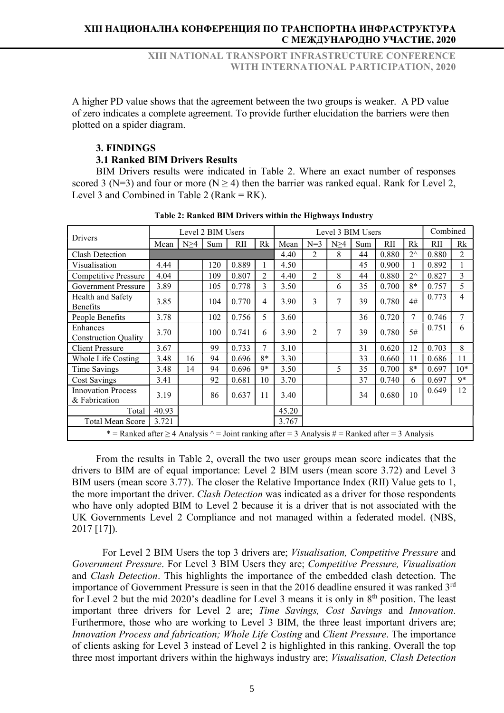A higher PD value shows that the agreement between the two groups is weaker. A PD value of zero indicates a complete agreement. To provide further elucidation the barriers were then plotted on a spider diagram.

# 3. FINDINGS 3.1 Ranked BIM Drivers Results

BIM Drivers results were indicated in Table 2. Where an exact number of responses scored 3 (N=3) and four or more (N  $\geq$  4) then the barrier was ranked equal. Rank for Level 2, Level 3 and Combined in Table 2 (Rank  $= RK$ ).

| Drivers                                                                                                     |       |                                                 | Level 2 BIM Users |       |                |       |     |    | Level 3 BIM Users |       |              | Combined |       |  |  |  |  |
|-------------------------------------------------------------------------------------------------------------|-------|-------------------------------------------------|-------------------|-------|----------------|-------|-----|----|-------------------|-------|--------------|----------|-------|--|--|--|--|
|                                                                                                             | Mean  | RII<br>Rk<br>$N=3$<br>Sum<br>Mean<br>N>4<br>N>4 |                   | Sum   | <b>RII</b>     | Rk    | RII | Rk |                   |       |              |          |       |  |  |  |  |
| <b>Clash Detection</b>                                                                                      |       |                                                 |                   |       |                | 4.40  | 2   | 8  | 44                | 0.880 | $2^{\wedge}$ | 0.880    | 2     |  |  |  |  |
| Visualisation                                                                                               | 4.44  |                                                 | 120               | 0.889 |                | 4.50  |     |    | 45                | 0.900 |              | 0.892    |       |  |  |  |  |
| Competitive Pressure                                                                                        | 4.04  |                                                 | 109               | 0.807 | $\overline{c}$ | 4.40  | 2   | 8  | 44                | 0.880 | $2^{\wedge}$ | 0.827    | 3     |  |  |  |  |
| <b>Government Pressure</b>                                                                                  | 3.89  |                                                 | 105               | 0.778 | 3              | 3.50  |     | 6  | 35                | 0.700 | $8*$         | 0.757    | 5     |  |  |  |  |
| Health and Safety<br><b>Benefits</b>                                                                        | 3.85  |                                                 | 104               | 0.770 | 4              | 3.90  | 3   | 7  | 39                | 0.780 | 4#           | 0.773    | 4     |  |  |  |  |
| People Benefits                                                                                             | 3.78  |                                                 | 102               | 0.756 | 5              | 3.60  |     |    | 36                | 0.720 | 7            | 0.746    | 7     |  |  |  |  |
| Enhances<br><b>Construction Quality</b>                                                                     | 3.70  |                                                 | 100               | 0.741 | 6              | 3.90  | 2   | 7  | 39                | 0.780 | 5#           | 0.751    | 6     |  |  |  |  |
| <b>Client Pressure</b>                                                                                      | 3.67  |                                                 | 99                | 0.733 | 7              | 3.10  |     |    | 31                | 0.620 | 12           | 0.703    | 8     |  |  |  |  |
| Whole Life Costing                                                                                          | 3.48  | 16                                              | 94                | 0.696 | $8*$           | 3.30  |     |    | 33                | 0.660 | 11           | 0.686    | 11    |  |  |  |  |
| Time Savings                                                                                                | 3.48  | 14                                              | 94                | 0.696 | 9*             | 3.50  |     | 5  | 35                | 0.700 | $8*$         | 0.697    | $10*$ |  |  |  |  |
| <b>Cost Savings</b>                                                                                         | 3.41  |                                                 | 92                | 0.681 | 10             | 3.70  |     |    | 37                | 0.740 | 6            | 0.697    | 9*    |  |  |  |  |
| <b>Innovation Process</b><br>& Fabrication                                                                  | 3.19  |                                                 | 86                | 0.637 | 11             | 3.40  |     |    | 34                | 0.680 | 10           | 0.649    | 12    |  |  |  |  |
| Total                                                                                                       | 40.93 |                                                 |                   |       |                | 45.20 |     |    |                   |       |              |          |       |  |  |  |  |
| 3.721<br>Total Mean Score                                                                                   |       |                                                 |                   |       |                | 3.767 |     |    |                   |       |              |          |       |  |  |  |  |
| * = Ranked after $\geq$ 4 Analysis $\land$ = Joint ranking after = 3 Analysis # = Ranked after = 3 Analysis |       |                                                 |                   |       |                |       |     |    |                   |       |              |          |       |  |  |  |  |

Table 2: Ranked BIM Drivers within the Highways Industry

From the results in Table 2, overall the two user groups mean score indicates that the drivers to BIM are of equal importance: Level 2 BIM users (mean score 3.72) and Level 3 BIM users (mean score 3.77). The closer the Relative Importance Index (RII) Value gets to 1, the more important the driver. Clash Detection was indicated as a driver for those respondents who have only adopted BIM to Level 2 because it is a driver that is not associated with the UK Governments Level 2 Compliance and not managed within a federated model. (NBS, 2017 [17]).

 For Level 2 BIM Users the top 3 drivers are; Visualisation, Competitive Pressure and Government Pressure. For Level 3 BIM Users they are; Competitive Pressure, Visualisation and Clash Detection. This highlights the importance of the embedded clash detection. The importance of Government Pressure is seen in that the 2016 deadline ensured it was ranked  $3<sup>rd</sup>$ for Level 2 but the mid 2020's deadline for Level 3 means it is only in  $8<sup>th</sup>$  position. The least important three drivers for Level 2 are; Time Savings, Cost Savings and Innovation. Furthermore, those who are working to Level 3 BIM, the three least important drivers are; Innovation Process and fabrication; Whole Life Costing and Client Pressure. The importance of clients asking for Level 3 instead of Level 2 is highlighted in this ranking. Overall the top three most important drivers within the highways industry are; *Visualisation*, *Clash Detection*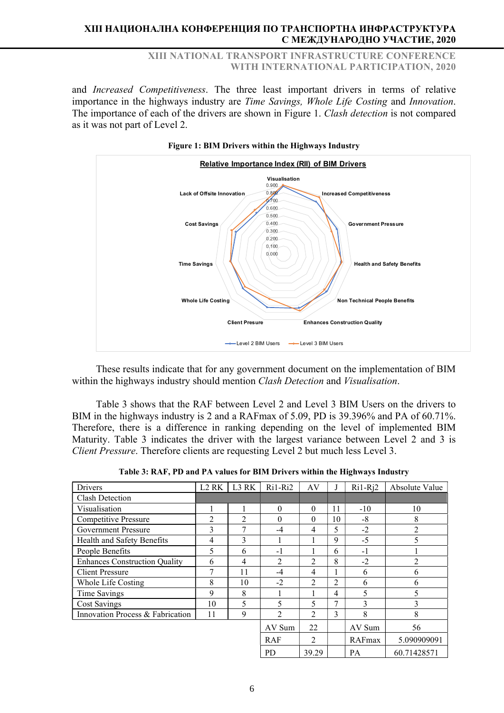XIII NATIONAL TRANSPORT INFRASTRUCTURE CONFERENCE WITH INTERNATIONAL PARTICIPATION, 2020

and Increased Competitiveness. The three least important drivers in terms of relative importance in the highways industry are Time Savings, Whole Life Costing and Innovation. The importance of each of the drivers are shown in Figure 1. Clash detection is not compared as it was not part of Level 2.



These results indicate that for any government document on the implementation of BIM within the highways industry should mention *Clash Detection* and *Visualisation*.

Table 3 shows that the RAF between Level 2 and Level 3 BIM Users on the drivers to BIM in the highways industry is 2 and a RAFmax of 5.09, PD is 39.396% and PA of 60.71%. Therefore, there is a difference in ranking depending on the level of implemented BIM Maturity. Table 3 indicates the driver with the largest variance between Level 2 and 3 is Client Pressure. Therefore clients are requesting Level 2 but much less Level 3.

|  |  | Table 3: RAF, PD and PA values for BIM Drivers within the Highways Industry |
|--|--|-----------------------------------------------------------------------------|
|--|--|-----------------------------------------------------------------------------|

| <b>Drivers</b>                       | L <sub>2</sub> R <sub>K</sub> | L3 RK          | $Ri1-Ri2$      | AV       | J  | $Ri1-Rj2$ | Absolute Value |
|--------------------------------------|-------------------------------|----------------|----------------|----------|----|-----------|----------------|
| Clash Detection                      |                               |                |                |          |    |           |                |
| Visualisation                        |                               | 1              | $\Omega$       | $\Omega$ | 11 | $-10$     | 10             |
| <b>Competitive Pressure</b>          | 2                             | $\overline{2}$ | 0              | $\Omega$ | 10 | -8        | 8              |
| <b>Government Pressure</b>           | 3                             | 7              | $-4$           | 4        | 5  | $-2$      | 2              |
| Health and Safety Benefits           | 4                             | 3              |                |          | 9  | $-5$      | 5              |
| People Benefits                      | 5                             | 6              | $-1$           |          | 6  | $-1$      |                |
| <b>Enhances Construction Quality</b> | 6                             | 4              | $\mathfrak{D}$ | 2        | 8  | $-2$      | $\overline{2}$ |
| <b>Client Pressure</b>               | 7                             | 11             | $-4$           | 4        |    | 6         | 6              |
| Whole Life Costing                   | 8                             | 10             | $-2$           | 2        | 2  | 6         | 6              |
| Time Savings                         | 9                             | 8              |                |          | 4  | 5         | 5              |
| <b>Cost Savings</b>                  | 10                            | 5              | 5              | 5        | 7  | 3         | 3              |
| Innovation Process & Fabrication     | 11                            | 9              | $\mathfrak{D}$ | 2        | 3  | 8         | 8              |
|                                      |                               |                | AV Sum         | 22       |    | AV Sum    | 56             |
|                                      |                               |                | <b>RAF</b>     | 2        |    | RAFmax    | 5.090909091    |
|                                      |                               |                | <b>PD</b>      | 39.29    |    | <b>PA</b> | 60.71428571    |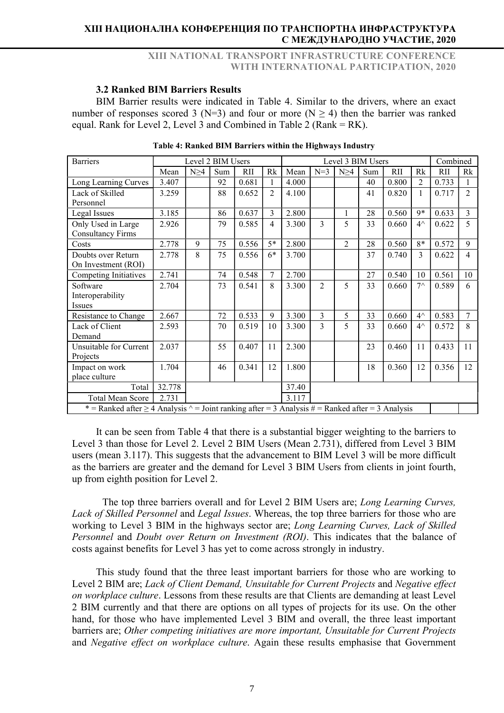## XIII NATIONAL TRANSPORT INFRASTRUCTURE CONFERENCE WITH INTERNATIONAL PARTICIPATION, 2020

### 3.2 Ranked BIM Barriers Results

BIM Barrier results were indicated in Table 4. Similar to the drivers, where an exact number of responses scored 3 (N=3) and four or more (N  $\geq$  4) then the barrier was ranked equal. Rank for Level 2, Level 3 and Combined in Table 2 (Rank  $= RK$ ).

| <b>Barriers</b>                                                                                              |                | Level 2 BIM Users |     |            |                |       | Level 3 BIM Users |                |     |            |                |            | Combined       |  |
|--------------------------------------------------------------------------------------------------------------|----------------|-------------------|-----|------------|----------------|-------|-------------------|----------------|-----|------------|----------------|------------|----------------|--|
|                                                                                                              | Mean           | $N \geq 4$        | Sum | <b>RII</b> | Rk             | Mean  | $N=3$             | $N \geq 4$     | Sum | <b>RII</b> | Rk             | <b>RII</b> | Rk             |  |
| Long Learning Curves                                                                                         | 3.407          |                   | 92  | 0.681      |                | 4.000 |                   |                | 40  | 0.800      | $\overline{2}$ | 0.733      |                |  |
| Lack of Skilled                                                                                              | 3.259          |                   | 88  | 0.652      | $\overline{2}$ | 4.100 |                   |                | 41  | 0.820      | 1              | 0.717      | $\overline{2}$ |  |
| Personnel                                                                                                    |                |                   |     |            |                |       |                   |                |     |            |                |            |                |  |
| Legal Issues                                                                                                 | 3.185          |                   | 86  | 0.637      | 3              | 2.800 |                   | 1              | 28  | 0.560      | 9*             | 0.633      | $\overline{3}$ |  |
| Only Used in Large                                                                                           | 2.926          |                   | 79  | 0.585      | 4              | 3.300 | 3                 | 5              | 33  | 0.660      | $4^{\wedge}$   | 0.622      | 5              |  |
| <b>Consultancy Firms</b>                                                                                     |                |                   |     |            |                |       |                   |                |     |            |                |            |                |  |
| Costs                                                                                                        | 2.778          | 9                 | 75  | 0.556      | $5*$           | 2.800 |                   | $\overline{2}$ | 28  | 0.560      | $8*$           | 0.572      | 9              |  |
| Doubts over Return                                                                                           | 2.778          | 8                 | 75  | 0.556      | $6*$           | 3.700 |                   |                | 37  | 0.740      | 3              | 0.622      | $\overline{4}$ |  |
| On Investment (ROI)                                                                                          |                |                   |     |            |                |       |                   |                |     |            |                |            |                |  |
| Competing Initiatives                                                                                        | 2.741          |                   | 74  | 0.548      | 7              | 2.700 |                   |                | 27  | 0.540      | 10             | 0.561      | 10             |  |
| Software                                                                                                     | 2.704          |                   | 73  | 0.541      | 8              | 3.300 | $\overline{2}$    | 5              | 33  | 0.660      | $7^{\wedge}$   | 0.589      | 6              |  |
| Interoperability                                                                                             |                |                   |     |            |                |       |                   |                |     |            |                |            |                |  |
| <b>Issues</b>                                                                                                |                |                   |     |            |                |       |                   |                |     |            |                |            |                |  |
| Resistance to Change                                                                                         | 2.667          |                   | 72  | 0.533      | 9              | 3.300 | 3                 | 5              | 33  | 0.660      | $4^{\wedge}$   | 0.583      | 7              |  |
| Lack of Client                                                                                               | 2.593          |                   | 70  | 0.519      | 10             | 3.300 | 3                 | 5              | 33  | 0.660      | $4^{\wedge}$   | 0.572      | 8              |  |
| Demand                                                                                                       |                |                   |     |            |                |       |                   |                |     |            |                |            |                |  |
| Unsuitable for Current                                                                                       | 2.037          |                   | 55  | 0.407      | 11             | 2.300 |                   |                | 23  | 0.460      | 11             | 0.433      | 11             |  |
| Projects                                                                                                     |                |                   |     |            |                |       |                   |                |     |            |                |            |                |  |
| Impact on work                                                                                               | 1.704          |                   | 46  | 0.341      | 12             | 1.800 |                   |                | 18  | 0.360      | 12             | 0.356      | 12             |  |
| place culture                                                                                                |                |                   |     |            |                |       |                   |                |     |            |                |            |                |  |
| 32.778<br>37.40<br>Total                                                                                     |                |                   |     |            |                |       |                   |                |     |            |                |            |                |  |
| <b>Total Mean Score</b>                                                                                      | 2.731<br>3.117 |                   |     |            |                |       |                   |                |     |            |                |            |                |  |
| * = Ranked after $\geq$ 4 Analysis $\wedge$ = Joint ranking after = 3 Analysis # = Ranked after = 3 Analysis |                |                   |     |            |                |       |                   |                |     |            |                |            |                |  |

|  |  |  |  | Table 4: Ranked BIM Barriers within the Highways Industry |
|--|--|--|--|-----------------------------------------------------------|
|  |  |  |  |                                                           |

It can be seen from Table 4 that there is a substantial bigger weighting to the barriers to Level 3 than those for Level 2. Level 2 BIM Users (Mean 2.731), differed from Level 3 BIM users (mean 3.117). This suggests that the advancement to BIM Level 3 will be more difficult as the barriers are greater and the demand for Level 3 BIM Users from clients in joint fourth, up from eighth position for Level 2.

 The top three barriers overall and for Level 2 BIM Users are; Long Learning Curves, Lack of Skilled Personnel and Legal Issues. Whereas, the top three barriers for those who are working to Level 3 BIM in the highways sector are; Long Learning Curves, Lack of Skilled Personnel and Doubt over Return on Investment (ROI). This indicates that the balance of costs against benefits for Level 3 has yet to come across strongly in industry.

This study found that the three least important barriers for those who are working to Level 2 BIM are; Lack of Client Demand, Unsuitable for Current Projects and Negative effect on workplace culture. Lessons from these results are that Clients are demanding at least Level 2 BIM currently and that there are options on all types of projects for its use. On the other hand, for those who have implemented Level 3 BIM and overall, the three least important barriers are; Other competing initiatives are more important, Unsuitable for Current Projects and Negative effect on workplace culture. Again these results emphasise that Government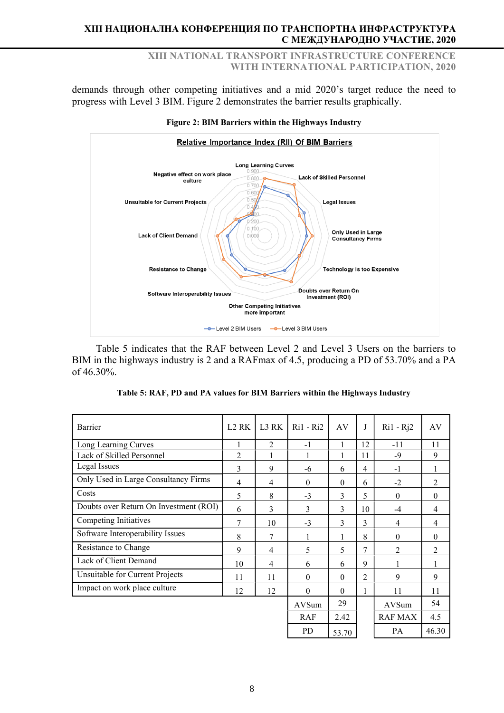XIII NATIONAL TRANSPORT INFRASTRUCTURE CONFERENCE WITH INTERNATIONAL PARTICIPATION, 2020

demands through other competing initiatives and a mid 2020's target reduce the need to progress with Level 3 BIM. Figure 2 demonstrates the barrier results graphically.



#### Figure 2: BIM Barriers within the Highways Industry

Table 5 indicates that the RAF between Level 2 and Level 3 Users on the barriers to BIM in the highways industry is 2 and a RAFmax of 4.5, producing a PD of 53.70% and a PA of 46.30%.

| Barrier                                | L <sub>2</sub> R <sub>K</sub> | L3 RK          | $Ri1 - Ri2$   | AV           | J  | $Ri1 - Rj2$    | AV             |
|----------------------------------------|-------------------------------|----------------|---------------|--------------|----|----------------|----------------|
| Long Learning Curves                   |                               | $\overline{2}$ | $-1$          | 1            | 12 | $-11$          | 11             |
| Lack of Skilled Personnel              | $\mathfrak{D}$                | 1              | 1             | 1            | 11 | -9             | 9              |
| Legal Issues                           | 3                             | 9              | -6            | 6            | 4  | $-1$           | $\mathbf{1}$   |
| Only Used in Large Consultancy Firms   | 4                             | $\overline{4}$ | $\mathbf{0}$  | $\Omega$     | 6  | $-2$           | 2              |
| Costs                                  | 5                             | 8              | $-3$          | 3            | 5  | $\theta$       | $\theta$       |
| Doubts over Return On Investment (ROI) | 6                             | 3              | $\mathcal{E}$ | $\mathbf{3}$ | 10 | $-4$           | $\overline{4}$ |
| Competing Initiatives                  | 7                             | 10             | $-3$          | 3            | 3  | 4              | 4              |
| Software Interoperability Issues       | 8                             | 7              | 1             | 1            | 8  | $\theta$       | $\theta$       |
| Resistance to Change                   | 9                             | $\overline{4}$ | 5             | 5            | 7  | $\overline{2}$ | 2              |
| Lack of Client Demand                  | 10                            | $\overline{4}$ | 6             | 6            | 9  | 1              | 1              |
| Unsuitable for Current Projects        | 11                            | 11             | $\theta$      | $\Omega$     | 2  | 9              | 9              |
| Impact on work place culture           | 12                            | 12             | $\theta$      | $\Omega$     | 1  | 11             | 11             |
|                                        |                               |                | AVSum         | 29           |    | AVSum          | 54             |
|                                        |                               |                | <b>RAF</b>    | 2.42         |    | <b>RAF MAX</b> | 4.5            |
|                                        |                               |                | <b>PD</b>     | 53.70        |    | PA             | 46.30          |

|  | Table 5: RAF, PD and PA values for BIM Barriers within the Highways Industry |  |
|--|------------------------------------------------------------------------------|--|
|  |                                                                              |  |
|  |                                                                              |  |
|  |                                                                              |  |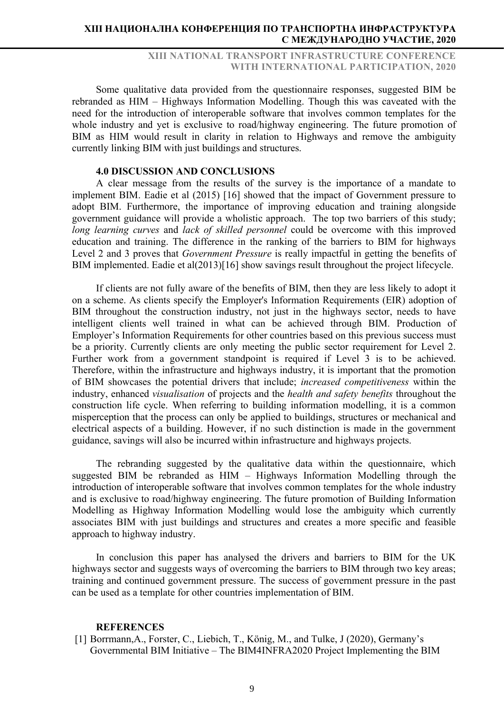## XIII NATIONAL TRANSPORT INFRASTRUCTURE CONFERENCE WITH INTERNATIONAL PARTICIPATION, 2020

Some qualitative data provided from the questionnaire responses, suggested BIM be rebranded as HIM – Highways Information Modelling. Though this was caveated with the need for the introduction of interoperable software that involves common templates for the whole industry and yet is exclusive to road/highway engineering. The future promotion of BIM as HIM would result in clarity in relation to Highways and remove the ambiguity currently linking BIM with just buildings and structures.

### 4.0 DISCUSSION AND CONCLUSIONS

A clear message from the results of the survey is the importance of a mandate to implement BIM. Eadie et al (2015) [16] showed that the impact of Government pressure to adopt BIM. Furthermore, the importance of improving education and training alongside government guidance will provide a wholistic approach. The top two barriers of this study; long learning curves and lack of skilled personnel could be overcome with this improved education and training. The difference in the ranking of the barriers to BIM for highways Level 2 and 3 proves that *Government Pressure* is really impactful in getting the benefits of BIM implemented. Eadie et al(2013)[16] show savings result throughout the project lifecycle.

If clients are not fully aware of the benefits of BIM, then they are less likely to adopt it on a scheme. As clients specify the Employer's Information Requirements (EIR) adoption of BIM throughout the construction industry, not just in the highways sector, needs to have intelligent clients well trained in what can be achieved through BIM. Production of Employer's Information Requirements for other countries based on this previous success must be a priority. Currently clients are only meeting the public sector requirement for Level 2. Further work from a government standpoint is required if Level 3 is to be achieved. Therefore, within the infrastructure and highways industry, it is important that the promotion of BIM showcases the potential drivers that include; increased competitiveness within the industry, enhanced *visualisation* of projects and the *health and safety benefits* throughout the construction life cycle. When referring to building information modelling, it is a common misperception that the process can only be applied to buildings, structures or mechanical and electrical aspects of a building. However, if no such distinction is made in the government guidance, savings will also be incurred within infrastructure and highways projects.

The rebranding suggested by the qualitative data within the questionnaire, which suggested BIM be rebranded as HIM – Highways Information Modelling through the introduction of interoperable software that involves common templates for the whole industry and is exclusive to road/highway engineering. The future promotion of Building Information Modelling as Highway Information Modelling would lose the ambiguity which currently associates BIM with just buildings and structures and creates a more specific and feasible approach to highway industry.

In conclusion this paper has analysed the drivers and barriers to BIM for the UK highways sector and suggests ways of overcoming the barriers to BIM through two key areas; training and continued government pressure. The success of government pressure in the past can be used as a template for other countries implementation of BIM.

#### **REFERENCES**

[1] Borrmann,A., Forster, C., Liebich, T., König, M., and Tulke, J (2020), Germany's Governmental BIM Initiative – The BIM4INFRA2020 Project Implementing the BIM